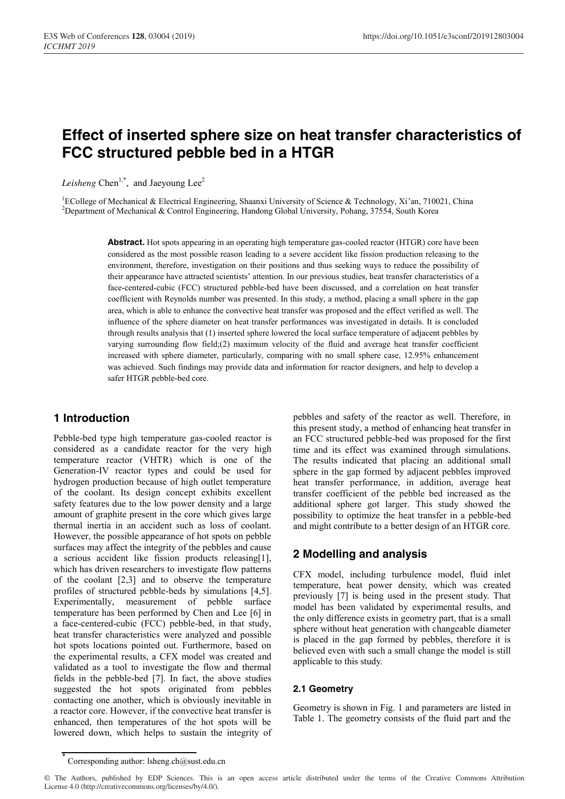# **Effect of inserted sphere size on heat transfer characteristics of FCC structured pebble bed in a HTGR**

Leisheng Chen<sup>1,\*</sup>, and Jaeyoung Lee<sup>2</sup>

<sup>1</sup>ECollege of Mechanical & Electrical Engineering, Shaanxi University of Science & Technology, Xi'an, 710021, China<br><sup>2</sup>Department of Mechanical & Control Engineering, Handong Global University, Pohang, 37554, South Korea <sup>2</sup>Department of Mechanical & Control Engineering, Handong Global University, Pohang, 37554, South Korea

> Abstract. Hot spots appearing in an operating high temperature gas-cooled reactor (HTGR) core have been considered as the most possible reason leading to a severe accident like fission production releasing to the environment, therefore, investigation on their positions and thus seeking ways to reduce the possibility of their appearance have attracted scientists' attention. In our previous studies, heat transfer characteristics of a face-centered-cubic (FCC) structured pebble-bed have been discussed, and a correlation on heat transfer coefficient with Reynolds number was presented. In this study, a method, placing a small sphere in the gap area, which is able to enhance the convective heat transfer was proposed and the effect verified as well. The influence of the sphere diameter on heat transfer performances was investigated in details. It is concluded through results analysis that (1) inserted sphere lowered the local surface temperature of adjacent pebbles by varying surrounding flow field;(2) maximum velocity of the fluid and average heat transfer coefficient increased with sphere diameter, particularly, comparing with no small sphere case, 12.95% enhancement was achieved. Such findings may provide data and information for reactor designers, and help to develop a safer HTGR pebble-bed core.

# **1 Introduction**

Pebble-bed type high temperature gas-cooled reactor is considered as a candidate reactor for the very high temperature reactor (VHTR) which is one of the Generation-IV reactor types and could be used for hydrogen production because of high outlet temperature of the coolant. Its design concept exhibits excellent safety features due to the low power density and a large amount of graphite present in the core which gives large thermal inertia in an accident such as loss of coolant. However, the possible appearance of hot spots on pebble surfaces may affect the integrity of the pebbles and cause a serious accident like fission products releasing[1], which has driven researchers to investigate flow patterns of the coolant [2,3] and to observe the temperature profiles of structured pebble-beds by simulations [4,5]. Experimentally, measurement of pebble surface temperature has been performed by Chen and Lee [6] in a face-centered-cubic (FCC) pebble-bed, in that study, heat transfer characteristics were analyzed and possible hot spots locations pointed out. Furthermore, based on the experimental results, a CFX model was created and validated as a tool to investigate the flow and thermal fields in the pebble-bed [7]. In fact, the above studies suggested the hot spots originated from pebbles contacting one another, which is obviously inevitable in a reactor core. However, if the convective heat transfer is enhanced, then temperatures of the hot spots will be lowered down, which helps to sustain the integrity of pebbles and safety of the reactor as well. Therefore, in this present study, a method of enhancing heat transfer in an FCC structured pebble-bed was proposed for the first time and its effect was examined through simulations. The results indicated that placing an additional small sphere in the gap formed by adjacent pebbles improved heat transfer performance, in addition, average heat transfer coefficient of the pebble bed increased as the additional sphere got larger. This study showed the possibility to optimize the heat transfer in a pebble-bed and might contribute to a better design of an HTGR core.

# **2 Modelling and analysis**

CFX model, including turbulence model, fluid inlet temperature, heat power density, which was created previously [7] is being used in the present study. That model has been validated by experimental results, and the only difference exists in geometry part, that is a small sphere without heat generation with changeable diameter is placed in the gap formed by pebbles, therefore it is believed even with such a small change the model is still applicable to this study.

## **2.1 Geometry**

Geometry is shown in Fig. 1 and parameters are listed in Table 1. The geometry consists of the fluid part and the

Corresponding author: lsheng.ch@sust.edu.cn

<sup>©</sup> The Authors, published by EDP Sciences. This is an open access article distributed under the terms of the Creative Commons Attribution License 4.0 (http://creativecommons.org/licenses/by/4.0/).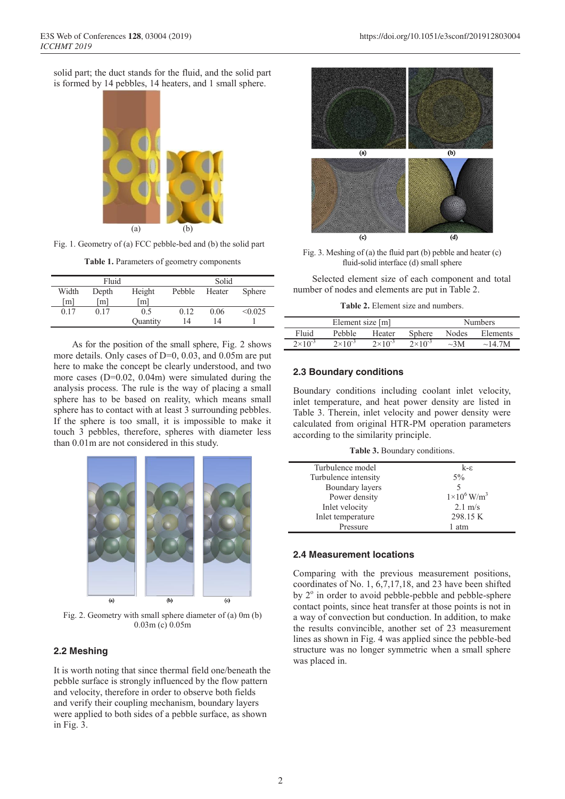solid part; the duct stands for the fluid, and the solid part is formed by 14 pebbles, 14 heaters, and 1 small sphere.



Fig. 1. Geometry of (a) FCC pebble-bed and (b) the solid part

**Table 1.** Parameters of geometry components

| Fluid           |                 |                   | Solid  |        |               |
|-----------------|-----------------|-------------------|--------|--------|---------------|
| Width           | Depth           | Height            | Pebble | Heater | <b>Sphere</b> |
| [m]             | m               | $\lceil m \rceil$ |        |        |               |
| 0 <sub>17</sub> | 0 <sub>17</sub> | 0 <sub>5</sub>    | 012    | 0.06   | < 0.025       |
|                 |                 | Ouantity          | 14     | 14     |               |

As for the position of the small sphere, Fig. 2 shows more details. Only cases of D=0, 0.03, and 0.05m are put here to make the concept be clearly understood, and two more cases (D=0.02, 0.04m) were simulated during the analysis process. The rule is the way of placing a small sphere has to be based on reality, which means small sphere has to contact with at least 3 surrounding pebbles. If the sphere is too small, it is impossible to make it touch 3 pebbles, therefore, spheres with diameter less than 0.01m are not considered in this study.



Fig. 2. Geometry with small sphere diameter of (a) 0m (b) 0.03m (c) 0.05m

#### **2.2 Meshing**

It is worth noting that since thermal field one/beneath the pebble surface is strongly influenced by the flow pattern and velocity, therefore in order to observe both fields and verify their coupling mechanism, boundary layers were applied to both sides of a pebble surface, as shown in Fig. 3.



Fig. 3. Meshing of (a) the fluid part (b) pebble and heater (c) fluid-solid interface (d) small sphere

Selected element size of each component and total number of nodes and elements are put in Table 2.

**Table 2.** Element size and numbers.

|                  | Element size [m]   |                    |                    | <b>Numbers</b> |              |  |
|------------------|--------------------|--------------------|--------------------|----------------|--------------|--|
| Fluid            | Pebble             | Heater             | <b>Sphere</b>      | Nodes          | Elements     |  |
| $2\times10^{-3}$ | $2 \times 10^{-3}$ | $2 \times 10^{-3}$ | $2 \times 10^{-3}$ | $\sim$ 3M      | $\sim$ 14.7M |  |

### **2.3 Boundary conditions**

Boundary conditions including coolant inlet velocity, inlet temperature, and heat power density are listed in Table 3. Therein, inlet velocity and power density were calculated from original HTR-PM operation parameters according to the similarity principle.

**Table 3.** Boundary conditions.

| Turbulence model     | k-e                              |
|----------------------|----------------------------------|
| Turbulence intensity | $5\%$                            |
| Boundary layers      | 5                                |
| Power density        | $1 \times 10^6$ W/m <sup>3</sup> |
| Inlet velocity       | $2.1 \text{ m/s}$                |
| Inlet temperature    | 298.15 K                         |
| Pressure             | atm                              |

### **2.4 Measurement locations**

Comparing with the previous measurement positions, coordinates of No. 1, 6,7,17,18, and 23 have been shifted by  $2^{\circ}$  in order to avoid pebble-pebble and pebble-sphere contact points, since heat transfer at those points is not in a way of convection but conduction. In addition, to make the results convincible, another set of 23 measurement lines as shown in Fig. 4 was applied since the pebble-bed structure was no longer symmetric when a small sphere was placed in.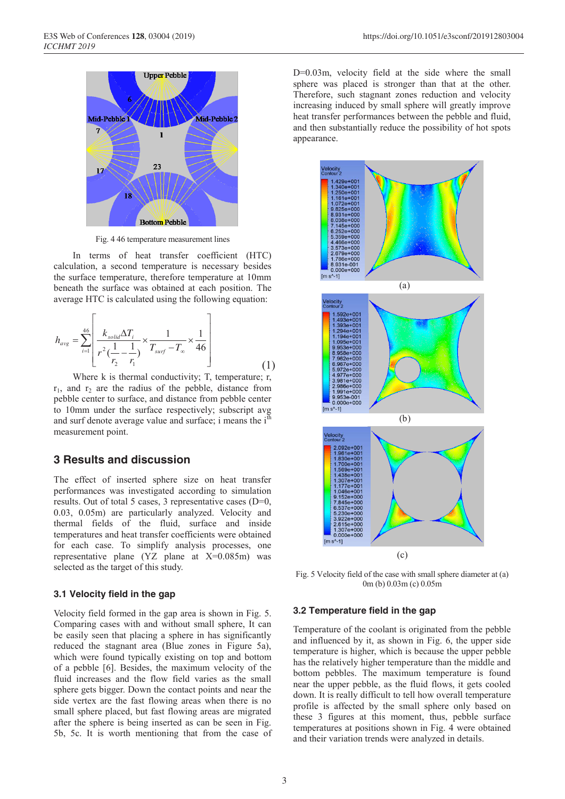

Fig. 4 46 temperature measurement lines

In terms of heat transfer coefficient (HTC) calculation, a second temperature is necessary besides the surface temperature, therefore temperature at 10mm beneath the surface was obtained at each position. The average HTC is calculated using the following equation:

$$
h_{avg} = \sum_{i=1}^{46} \left[ \frac{k_{solid} \Delta T_i}{r^2 (\frac{1}{r_2} - \frac{1}{r_1})} \times \frac{1}{T_{surf} - T_{\infty}} \times \frac{1}{46} \right]
$$
(1)

Where k is thermal conductivity; T, temperature; r,  $r_1$ , and  $r_2$  are the radius of the pebble, distance from pebble center to surface, and distance from pebble center to 10mm under the surface respectively; subscript avg and surf denote average value and surface; i means the  $i<sup>th</sup>$ measurement point.

## **3 Results and discussion**

The effect of inserted sphere size on heat transfer performances was investigated according to simulation results. Out of total 5 cases, 3 representative cases (D=0, 0.03, 0.05m) are particularly analyzed. Velocity and thermal fields of the fluid, surface and inside temperatures and heat transfer coefficients were obtained for each case. To simplify analysis processes, one representative plane (YZ plane at X=0.085m) was selected as the target of this study.

#### **3.1 Velocity field in the gap**

Velocity field formed in the gap area is shown in Fig. 5. Comparing cases with and without small sphere, It can be easily seen that placing a sphere in has significantly reduced the stagnant area (Blue zones in Figure 5a), which were found typically existing on top and bottom of a pebble [6]. Besides, the maximum velocity of the fluid increases and the flow field varies as the small sphere gets bigger. Down the contact points and near the side vertex are the fast flowing areas when there is no small sphere placed, but fast flowing areas are migrated after the sphere is being inserted as can be seen in Fig. 5b, 5c. It is worth mentioning that from the case of D=0.03m, velocity field at the side where the small sphere was placed is stronger than that at the other. Therefore, such stagnant zones reduction and velocity increasing induced by small sphere will greatly improve heat transfer performances between the pebble and fluid, and then substantially reduce the possibility of hot spots appearance.



Fig. 5 Velocity field of the case with small sphere diameter at (a) 0m (b) 0.03m (c) 0.05m

#### **3.2 Temperature field in the gap**

Temperature of the coolant is originated from the pebble and influenced by it, as shown in Fig. 6, the upper side temperature is higher, which is because the upper pebble has the relatively higher temperature than the middle and bottom pebbles. The maximum temperature is found near the upper pebble, as the fluid flows, it gets cooled down. It is really difficult to tell how overall temperature profile is affected by the small sphere only based on these 3 figures at this moment, thus, pebble surface temperatures at positions shown in Fig. 4 were obtained and their variation trends were analyzed in details.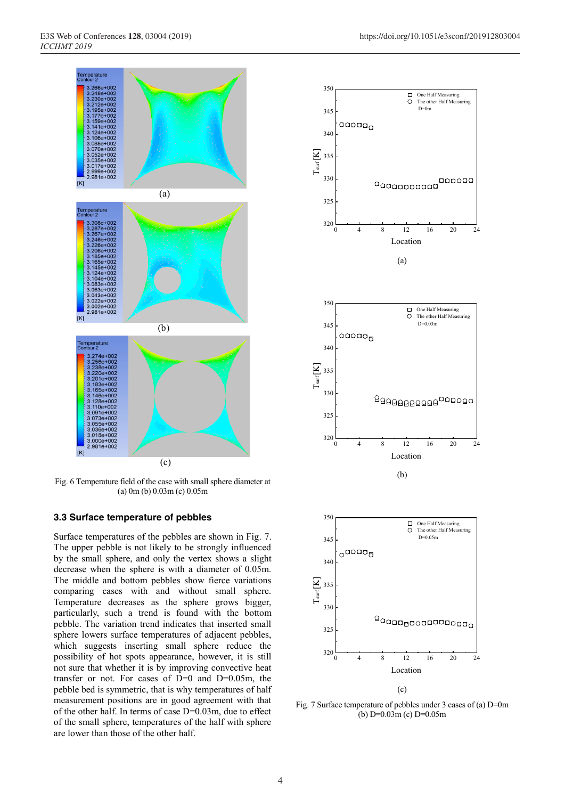

Fig. 6 Temperature field of the case with small sphere diameter at (a) 0m (b) 0.03m (c) 0.05m

#### **3.3 Surface temperature of pebbles**

Surface temperatures of the pebbles are shown in Fig. 7. The upper pebble is not likely to be strongly influenced by the small sphere, and only the vertex shows a slight decrease when the sphere is with a diameter of 0.05m. The middle and bottom pebbles show fierce variations comparing cases with and without small sphere. Temperature decreases as the sphere grows bigger, particularly, such a trend is found with the bottom pebble. The variation trend indicates that inserted small sphere lowers surface temperatures of adjacent pebbles, which suggests inserting small sphere reduce the possibility of hot spots appearance, however, it is still not sure that whether it is by improving convective heat transfer or not. For cases of  $D=0$  and  $D=0.05$ m, the pebble bed is symmetric, that is why temperatures of half measurement positions are in good agreement with that of the other half. In terms of case D=0.03m, due to effect of the small sphere, temperatures of the half with sphere are lower than those of the other half.



Fig. 7 Surface temperature of pebbles under 3 cases of (a) D=0m (b) D=0.03m (c) D=0.05m